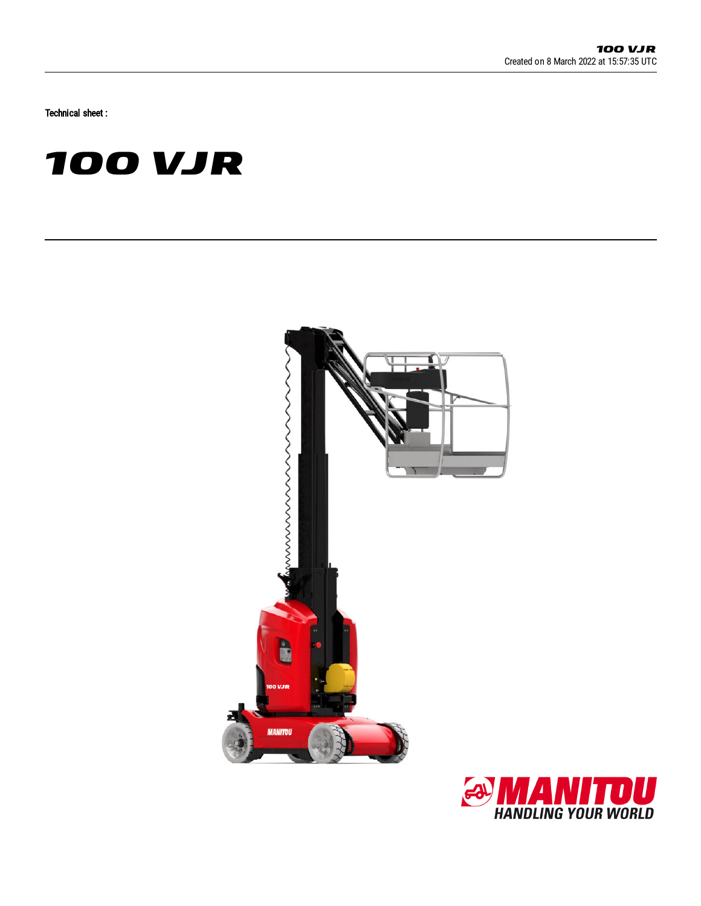Technical sheet :

# **100 VJR**



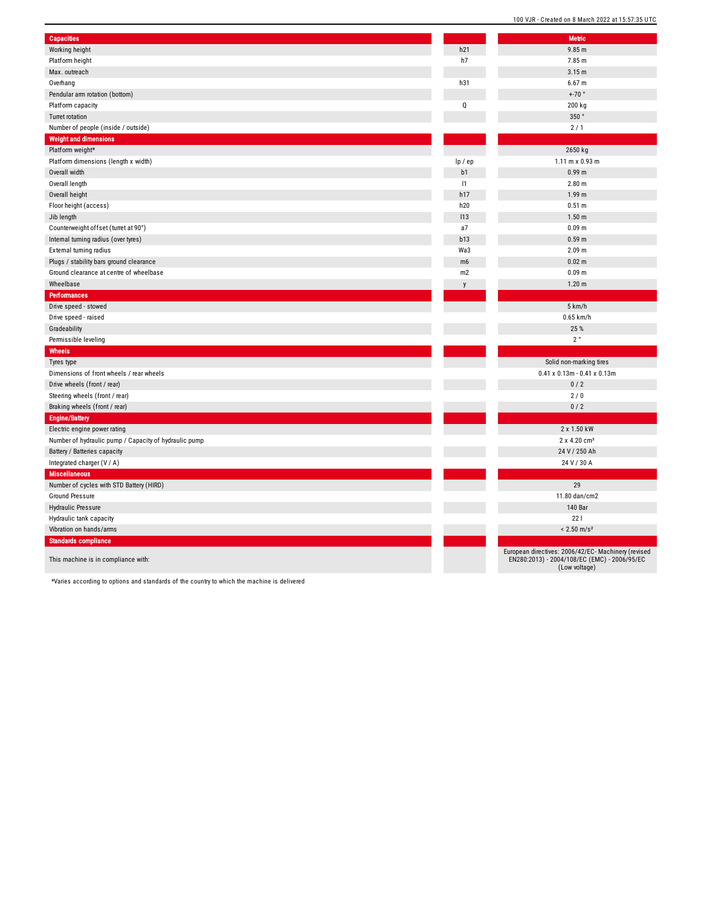| Capacities                                            |         | <b>Metric</b>                                                                                                        |
|-------------------------------------------------------|---------|----------------------------------------------------------------------------------------------------------------------|
| Working height                                        | h21     | 9.85 m                                                                                                               |
| Platform height                                       | h7      | 7.85 m                                                                                                               |
| Max. outreach                                         |         | 3.15 m                                                                                                               |
| Overhang                                              | h31     | 6.67 m                                                                                                               |
| Pendular arm rotation (bottom)                        |         | $+70$ °                                                                                                              |
|                                                       |         |                                                                                                                      |
| Platform capacity                                     | Q       | 200 kg                                                                                                               |
| Turret rotation                                       |         | $350$ $^{\circ}$                                                                                                     |
| Number of people (inside / outside)                   |         | 2/1                                                                                                                  |
| <b>Weight and dimensions</b>                          |         |                                                                                                                      |
| Platform weight*                                      |         | 2650 kg                                                                                                              |
| Platform dimensions (length x width)                  | lp / ep | $1.11 \text{ m} \times 0.93 \text{ m}$                                                                               |
| Overall width                                         | b1      | 0.99 <sub>m</sub>                                                                                                    |
| Overall length                                        | 1       | 2.80 <sub>m</sub>                                                                                                    |
| Overall height                                        | h17     | 1.99 <sub>m</sub>                                                                                                    |
| Floor height (access)                                 | h20     | 0.51 m                                                                                                               |
| Jib length                                            | 113     | 1.50 <sub>m</sub>                                                                                                    |
| Counterweight offset (turret at 90°)                  | a7      | 0.09 m                                                                                                               |
| Internal turning radius (over tyres)                  | b13     | 0.59 <sub>m</sub>                                                                                                    |
| External turning radius                               | Wa3     | 2.09 m                                                                                                               |
| Plugs / stability bars ground clearance               | m6      | 0.02 m                                                                                                               |
| Ground clearance at centre of wheelbase               | m2      | 0.09 m                                                                                                               |
| Wheelbase                                             | y       | 1.20 <sub>m</sub>                                                                                                    |
| Performances                                          |         |                                                                                                                      |
| Drive speed - stowed                                  |         | 5 km/h                                                                                                               |
| Drive speed - raised                                  |         | 0.65 km/h                                                                                                            |
| Gradeability                                          |         | 25 %                                                                                                                 |
| Permissible leveling                                  |         | $2^{\circ}$                                                                                                          |
| Wheels                                                |         |                                                                                                                      |
| Tyres type                                            |         | Solid non-marking tires                                                                                              |
| Dimensions of front wheels / rear wheels              |         | $0.41 \times 0.13$ m - $0.41 \times 0.13$ m                                                                          |
| Drive wheels (front / rear)                           |         | 0/2                                                                                                                  |
| Steering wheels (front / rear)                        |         | 2/0                                                                                                                  |
| Braking wheels (front / rear)                         |         | 0/2                                                                                                                  |
| <b>Engine/Battery</b>                                 |         |                                                                                                                      |
| Electric engine power rating                          |         | 2 x 1.50 kW                                                                                                          |
| Number of hydraulic pump / Capacity of hydraulic pump |         | 2 x 4.20 cm <sup>3</sup>                                                                                             |
| Battery / Batteries capacity                          |         | 24 V / 250 Ah                                                                                                        |
| Integrated charger (V / A)                            |         | 24 V / 30 A                                                                                                          |
| <b>Miscellaneous</b>                                  |         |                                                                                                                      |
| Number of cycles with STD Battery (HIRD)              |         | 29                                                                                                                   |
| Ground Pressure                                       |         | 11.80 dan/cm2                                                                                                        |
| <b>Hydraulic Pressure</b>                             |         | 140 Bar                                                                                                              |
| Hydraulic tank capacity                               |         | 221                                                                                                                  |
| Vibration on hands/arms                               |         | $< 2.50$ m/s <sup>2</sup>                                                                                            |
| <b>Standards compliance</b>                           |         |                                                                                                                      |
| This machine is in compliance with:                   |         | European directives: 2006/42/EC- Machinery (revised<br>EN280:2013) - 2004/108/EC (EMC) - 2006/95/EC<br>(Low voltage) |

100 VJR - Created on 8 March 2022 at 15:57:35 UTC

\*Varies according to options and standards of the country to which the machine is delivered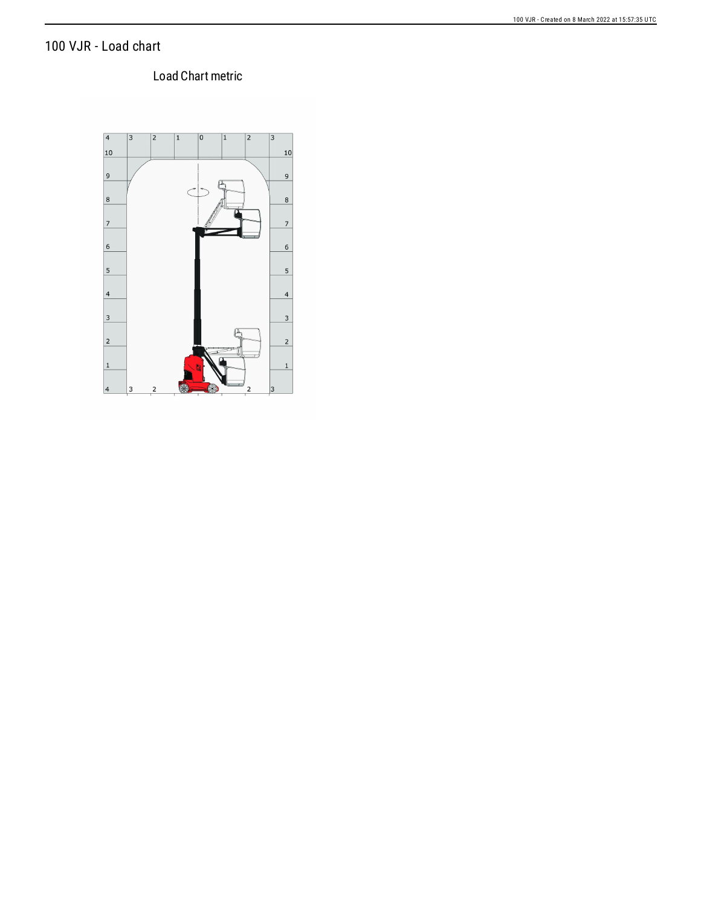## 100 VJR - Load chart

### Load Chart metric

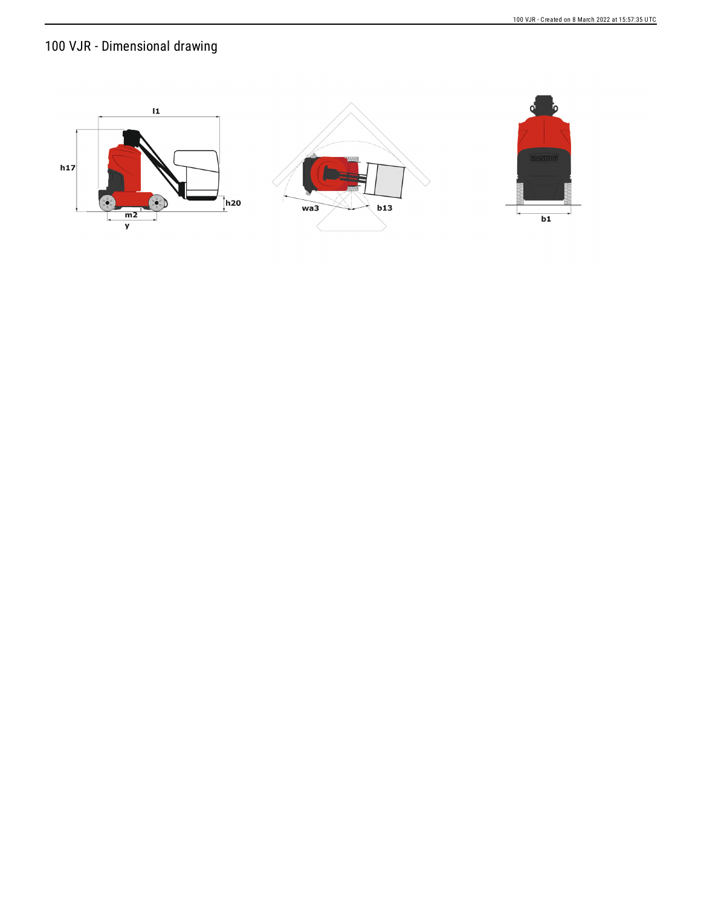# 100 VJR - Dimensional drawing

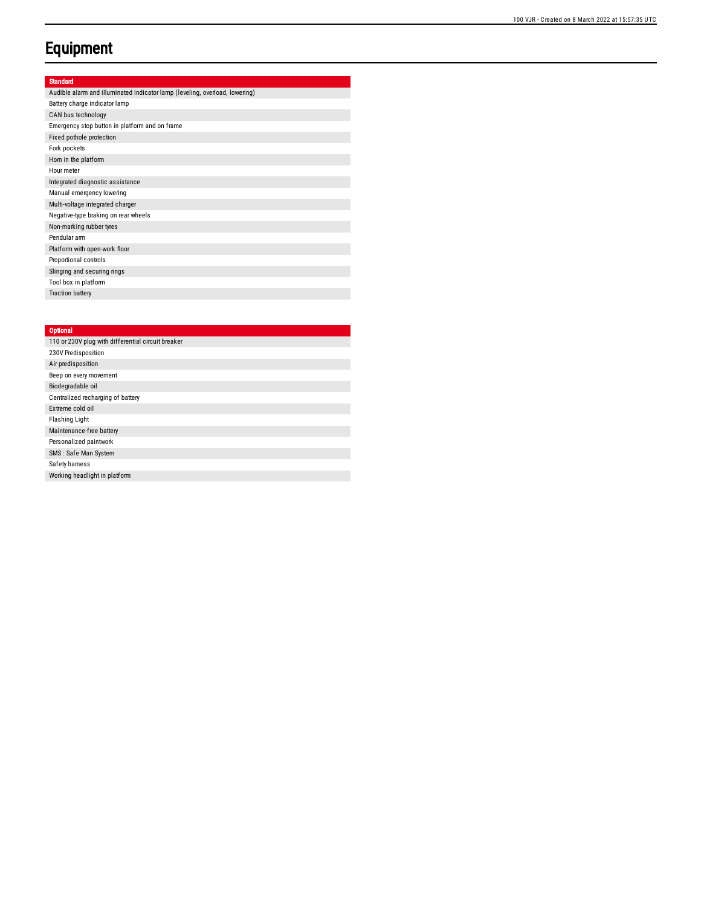### **Equipment**

#### Standard

| Audible alarm and illuminated indicator lamp (leveling, overload, lowering) |
|-----------------------------------------------------------------------------|
| Battery charge indicator lamp                                               |
| CAN bus technology                                                          |
| Emergency stop button in platform and on frame                              |
| Fixed pothole protection                                                    |
| Fork pockets                                                                |
| Horn in the platform                                                        |
| Hour meter                                                                  |
| Integrated diagnostic assistance                                            |
| Manual emergency lowering                                                   |
| Multi-voltage integrated charger                                            |
| Negative-type braking on rear wheels                                        |
| Non-marking rubber tyres                                                    |
| Pendular arm                                                                |
| Platform with open-work floor                                               |
| Proportional controls                                                       |
| Slinging and securing rings                                                 |
| Tool box in platform                                                        |
| <b>Traction battery</b>                                                     |

#### **Optional**

| 110 or 230V plug with differential circuit breaker |
|----------------------------------------------------|
| 230V Predisposition                                |
| Air predisposition                                 |
| Beep on every movement                             |
| Biodegradable oil                                  |
| Centralized recharging of battery                  |
| Extreme cold oil                                   |
| <b>Flashing Light</b>                              |
| Maintenance-free battery                           |
| Personalized paintwork                             |
| SMS: Safe Man System                               |
| Safety hamess                                      |
| Working headlight in platform                      |